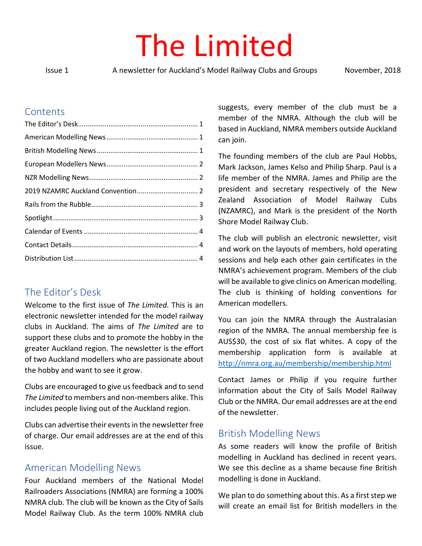# The Limited

Issue 1 A newsletter for Auckland's Model Railway Clubs and Groups November, 2018

#### Contents

# <span id="page-0-0"></span>The Editor's Desk

Welcome to the first issue of *The Limited*. This is an electronic newsletter intended for the model railway clubs in Auckland. The aims of *The Limited* are to support these clubs and to promote the hobby in the greater Auckland region. The newsletter is the effort of two Auckland modellers who are passionate about the hobby and want to see it grow.

Clubs are encouraged to give us feedback and to send *The Limited* to members and non-members alike. This includes people living out of the Auckland region.

Clubs can advertise their events in the newsletter free of charge. Our email addresses are at the end of this issue.

## <span id="page-0-1"></span>American Modelling News

Four Auckland members of the National Model Railroaders Associations (NMRA) are forming a 100% NMRA club. The club will be known as the City of Sails Model Railway Club. As the term 100% NMRA club suggests, every member of the club must be a member of the NMRA. Although the club will be based in Auckland, NMRA members outside Auckland can join.

The founding members of the club are Paul Hobbs, Mark Jackson, James Kelso and Philip Sharp. Paul is a life member of the NMRA. James and Philip are the president and secretary respectively of the New Zealand Association of Model Railway Cubs (NZAMRC), and Mark is the president of the North Shore Model Railway Club.

The club will publish an electronic newsletter, visit and work on the layouts of members, hold operating sessions and help each other gain certificates in the NMRA's achievement program. Members of the club will be available to give clinics on American modelling. The club is thinking of holding conventions for American modellers.

You can join the NMRA through the Australasian region of the NMRA. The annual membership fee is AUS\$30, the cost of six flat whites. A copy of the membership application form is available at <http://nmra.org.au/membership/membership.html>

Contact James or Philip if you require further information about the City of Sails Model Railway Club or the NMRA. Our email addresses are at the end of the newsletter.

## <span id="page-0-2"></span>British Modelling News

As some readers will know the profile of British modelling in Auckland has declined in recent years. We see this decline as a shame because fine British modelling is done in Auckland.

We plan to do something about this. As a first step we will create an email list for British modellers in the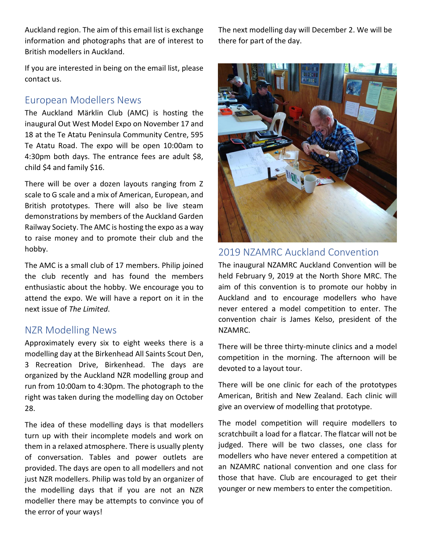Auckland region. The aim of this email list is exchange information and photographs that are of interest to British modellers in Auckland.

If you are interested in being on the email list, please contact us.

## <span id="page-1-0"></span>European Modellers News

The Auckland Märklin Club (AMC) is hosting the inaugural Out West Model Expo on November 17 and 18 at the Te Atatu Peninsula Community Centre, 595 Te Atatu Road. The expo will be open 10:00am to 4:30pm both days. The entrance fees are adult \$8, child \$4 and family \$16.

There will be over a dozen layouts ranging from Z scale to G scale and a mix of American, European, and British prototypes. There will also be live steam demonstrations by members of the Auckland Garden Railway Society. The AMC is hosting the expo as a way to raise money and to promote their club and the hobby.

The AMC is a small club of 17 members. Philip joined the club recently and has found the members enthusiastic about the hobby. We encourage you to attend the expo. We will have a report on it in the next issue of *The Limited*.

#### <span id="page-1-1"></span>NZR Modelling News

Approximately every six to eight weeks there is a modelling day at the Birkenhead All Saints Scout Den, 3 Recreation Drive, Birkenhead. The days are organized by the Auckland NZR modelling group and run from 10:00am to 4:30pm. The photograph to the right was taken during the modelling day on October 28.

The idea of these modelling days is that modellers turn up with their incomplete models and work on them in a relaxed atmosphere. There is usually plenty of conversation. Tables and power outlets are provided. The days are open to all modellers and not just NZR modellers. Philip was told by an organizer of the modelling days that if you are not an NZR modeller there may be attempts to convince you of the error of your ways!

The next modelling day will December 2. We will be there for part of the day.



#### <span id="page-1-2"></span>2019 NZAMRC Auckland Convention

The inaugural NZAMRC Auckland Convention will be held February 9, 2019 at the North Shore MRC. The aim of this convention is to promote our hobby in Auckland and to encourage modellers who have never entered a model competition to enter. The convention chair is James Kelso, president of the NZAMRC.

There will be three thirty-minute clinics and a model competition in the morning. The afternoon will be devoted to a layout tour.

There will be one clinic for each of the prototypes American, British and New Zealand. Each clinic will give an overview of modelling that prototype.

The model competition will require modellers to scratchbuilt a load for a flatcar. The flatcar will not be judged. There will be two classes, one class for modellers who have never entered a competition at an NZAMRC national convention and one class for those that have. Club are encouraged to get their younger or new members to enter the competition.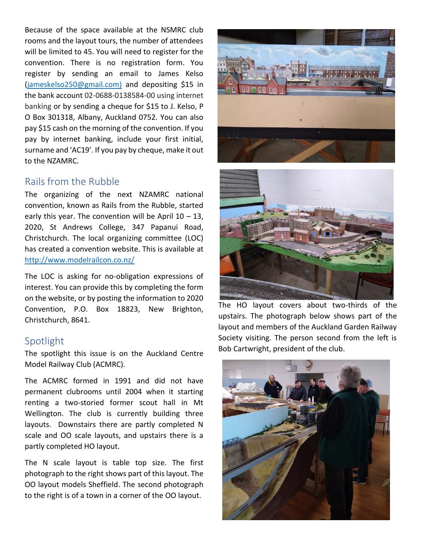Because of the space available at the NSMRC club rooms and the layout tours, the number of attendees will be limited to 45. You will need to register for the convention. There is no registration form. You register by sending an email to James Kelso [\(jameskelso250@gmail.com\)](mailto:jameskelso250@gmail.com) and depositing \$15 in the bank account 02-0688-0138584-00 using internet banking or by sending a cheque for \$15 to J. Kelso, P O Box 301318, Albany, Auckland 0752. You can also pay \$15 cash on the morning of the convention. If you pay by internet banking, include your first initial, surname and 'AC19'. If you pay by cheque, make it out to the NZAMRC.

#### <span id="page-2-0"></span>Rails from the Rubble

The organizing of the next NZAMRC national convention, known as Rails from the Rubble, started early this year. The convention will be April  $10 - 13$ , 2020, St Andrews College, 347 Papanui Road, Christchurch. The local organizing committee (LOC) has created a convention website. This is available at <http://www.modelrailcon.co.nz/>

The LOC is asking for no-obligation expressions of interest. You can provide this by completing the form on the website, or by posting the information to 2020 Convention, P.O. Box 18823, New Brighton, Christchurch, 8641.

## <span id="page-2-1"></span>Spotlight

The spotlight this issue is on the Auckland Centre Model Railway Club (ACMRC).

The ACMRC formed in 1991 and did not have permanent clubrooms until 2004 when it starting renting a two-storied former scout hall in Mt Wellington. The club is currently building three layouts. Downstairs there are partly completed N scale and OO scale layouts, and upstairs there is a partly completed HO layout.

The N scale layout is table top size. The first photograph to the right shows part of this layout. The OO layout models Sheffield. The second photograph to the right is of a town in a corner of the OO layout.





The HO layout covers about two-thirds of the upstairs. The photograph below shows part of the layout and members of the Auckland Garden Railway Society visiting. The person second from the left is Bob Cartwright, president of the club.